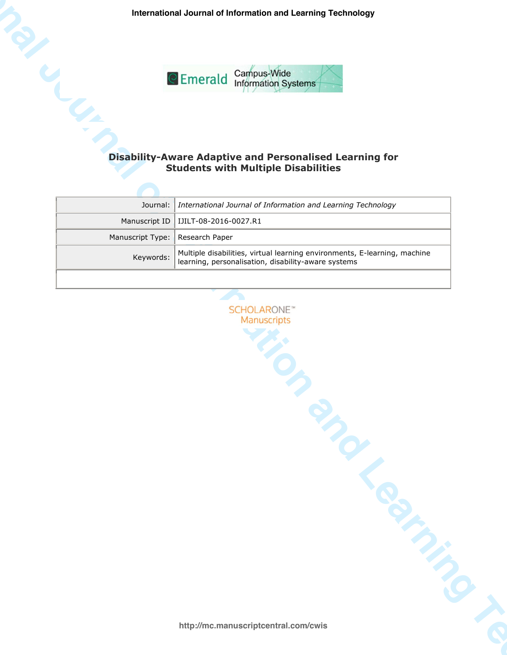**International Journal of Information and Learning Technology**



# **Students with Multiple Disabilities**

|                                   | Journal:   International Journal of Information and Learning Technology                                                          |
|-----------------------------------|----------------------------------------------------------------------------------------------------------------------------------|
|                                   | Manuscript ID   IJILT-08-2016-0027.R1                                                                                            |
| Manuscript Type:   Research Paper |                                                                                                                                  |
| Keywords:                         | Multiple disabilities, virtual learning environments, E-learning, machine<br>learning, personalisation, disability-aware systems |
|                                   |                                                                                                                                  |



**http://mc.manuscriptcentral.com/cwis**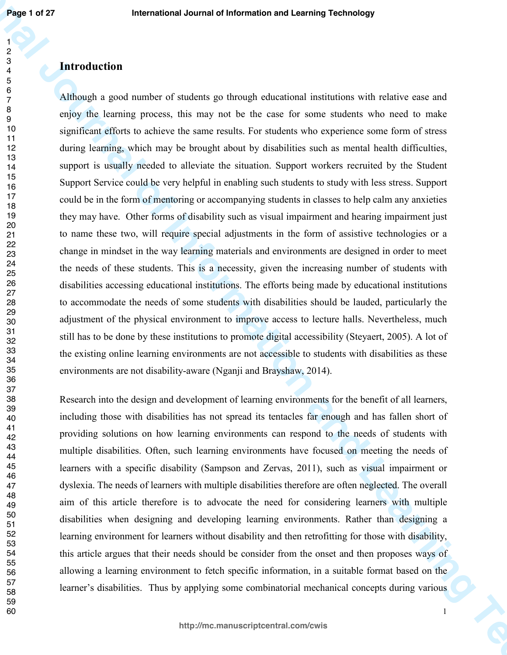## **Introduction**

**International Journal of International Solution and Learning Technology<br>
<b>Introduction**<br> **International Journal of Vinding System and Learning Technology<br>
<b>International System and System** and Technology<br> **International** Although a good number of students go through educational institutions with relative ease and enjoy the learning process, this may not be the case for some students who need to make significant efforts to achieve the same results. For students who experience some form of stress during learning, which may be brought about by disabilities such as mental health difficulties, support is usually needed to alleviate the situation. Support workers recruited by the Student Support Service could be very helpful in enabling such students to study with less stress. Support could be in the form of mentoring or accompanying students in classes to help calm any anxieties they may have. Other forms of disability such as visual impairment and hearing impairment just to name these two, will require special adjustments in the form of assistive technologies or a change in mindset in the way learning materials and environments are designed in order to meet the needs of these students. This is a necessity, given the increasing number of students with disabilities accessing educational institutions. The efforts being made by educational institutions to accommodate the needs of some students with disabilities should be lauded, particularly the adjustment of the physical environment to improve access to lecture halls. Nevertheless, much still has to be done by these institutions to promote digital accessibility (Steyaert, 2005). A lot of the existing online learning environments are not accessible to students with disabilities as these environments are not disability-aware (Nganji and Brayshaw, 2014).

Research into the design and development of learning environments for the benefit of all learners, including those with disabilities has not spread its tentacles far enough and has fallen short of providing solutions on how learning environments can respond to the needs of students with multiple disabilities. Often, such learning environments have focused on meeting the needs of learners with a specific disability (Sampson and Zervas, 2011), such as visual impairment or dyslexia. The needs of learners with multiple disabilities therefore are often neglected. The overall aim of this article therefore is to advocate the need for considering learners with multiple disabilities when designing and developing learning environments. Rather than designing a learning environment for learners without disability and then retrofitting for those with disability, this article argues that their needs should be consider from the onset and then proposes ways of allowing a learning environment to fetch specific information, in a suitable format based on the learner's disabilities. Thus by applying some combinatorial mechanical concepts during various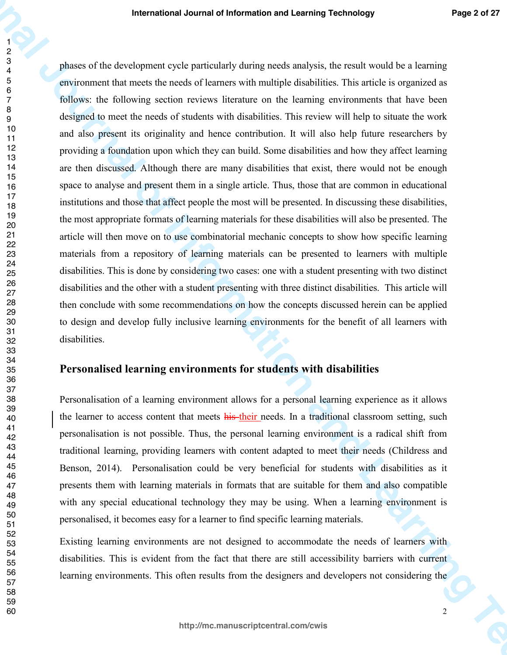**International Journal of Information and Learning Technology** 2 phases of the development cycle particularly during needs analysis, the result would be a learning environment that meets the needs of learners with multiple disabilities. This article is organized as follows: the following section reviews literature on the learning environments that have been designed to meet the needs of students with disabilities. This review will help to situate the work and also present its originality and hence contribution. It will also help future researchers by providing a foundation upon which they can build. Some disabilities and how they affect learning are then discussed. Although there are many disabilities that exist, there would not be enough space to analyse and present them in a single article. Thus, those that are common in educational institutions and those that affect people the most will be presented. In discussing these disabilities, the most appropriate formats of learning materials for these disabilities will also be presented. The article will then move on to use combinatorial mechanic concepts to show how specific learning materials from a repository of learning materials can be presented to learners with multiple disabilities. This is done by considering two cases: one with a student presenting with two distinct disabilities and the other with a student presenting with three distinct disabilities. This article will then conclude with some recommendations on how the concepts discussed herein can be applied to design and develop fully inclusive learning environments for the benefit of all learners with disabilities.

## **Personalised learning environments for students with disabilities**

Personalisation of a learning environment allows for a personal learning experience as it allows the learner to access content that meets his their needs. In a traditional classroom setting, such personalisation is not possible. Thus, the personal learning environment is a radical shift from traditional learning, providing learners with content adapted to meet their needs (Childress and Benson, 2014). Personalisation could be very beneficial for students with disabilities as it presents them with learning materials in formats that are suitable for them and also compatible with any special educational technology they may be using. When a learning environment is personalised, it becomes easy for a learner to find specific learning materials.

Existing learning environments are not designed to accommodate the needs of learners with disabilities. This is evident from the fact that there are still accessibility barriers with current learning environments. This often results from the designers and developers not considering the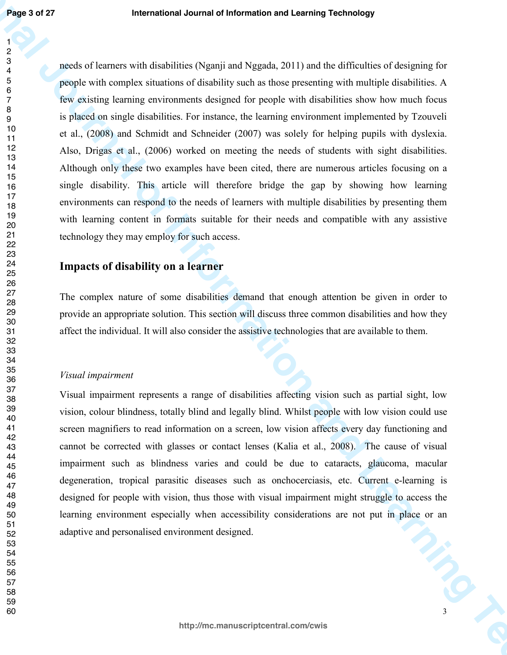**International Journal of International Solution** and Learning Technology is a greate with complete values of designity, and International Is of Information of designity and the strength of the internation  $\lambda$  for  $\lambda$  fo needs of learners with disabilities (Nganji and Nggada, 2011) and the difficulties of designing for people with complex situations of disability such as those presenting with multiple disabilities. A few existing learning environments designed for people with disabilities show how much focus is placed on single disabilities. For instance, the learning environment implemented by Tzouveli et al., (2008) and Schmidt and Schneider (2007) was solely for helping pupils with dyslexia. Also, Drigas et al., (2006) worked on meeting the needs of students with sight disabilities. Although only these two examples have been cited, there are numerous articles focusing on a single disability. This article will therefore bridge the gap by showing how learning environments can respond to the needs of learners with multiple disabilities by presenting them with learning content in formats suitable for their needs and compatible with any assistive technology they may employ for such access.

## **Impacts of disability on a learner**

The complex nature of some disabilities demand that enough attention be given in order to provide an appropriate solution. This section will discuss three common disabilities and how they affect the individual. It will also consider the assistive technologies that are available to them.

#### *Visual impairment*

Visual impairment represents a range of disabilities affecting vision such as partial sight, low vision, colour blindness, totally blind and legally blind. Whilst people with low vision could use screen magnifiers to read information on a screen, low vision affects every day functioning and cannot be corrected with glasses or contact lenses (Kalia et al., 2008). The cause of visual impairment such as blindness varies and could be due to cataracts, glaucoma, macular degeneration, tropical parasitic diseases such as onchocerciasis, etc. Current e-learning is designed for people with vision, thus those with visual impairment might struggle to access the learning environment especially when accessibility considerations are not put in place or an adaptive and personalised environment designed. adaptive and personalised environment designed.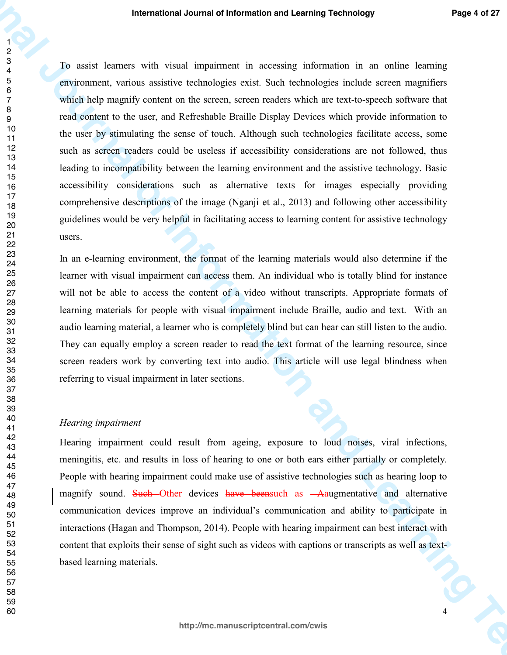**International Journal of Internation and Learning Technology <b>Frogse of 37**<br> **I** anoted kannon with vasual impularion it in associate information in an inclusion beaming expression of the second and the electronic state o To assist learners with visual impairment in accessing information in an online learning environment, various assistive technologies exist. Such technologies include screen magnifiers which help magnify content on the screen, screen readers which are text-to-speech software that read content to the user, and Refreshable Braille Display Devices which provide information to the user by stimulating the sense of touch. Although such technologies facilitate access, some such as screen readers could be useless if accessibility considerations are not followed, thus leading to incompatibility between the learning environment and the assistive technology. Basic accessibility considerations such as alternative texts for images especially providing comprehensive descriptions of the image (Nganji et al., 2013) and following other accessibility guidelines would be very helpful in facilitating access to learning content for assistive technology users.

In an e-learning environment, the format of the learning materials would also determine if the learner with visual impairment can access them. An individual who is totally blind for instance will not be able to access the content of a video without transcripts. Appropriate formats of learning materials for people with visual impairment include Braille, audio and text. With an audio learning material, a learner who is completely blind but can hear can still listen to the audio. They can equally employ a screen reader to read the text format of the learning resource, since screen readers work by converting text into audio. This article will use legal blindness when referring to visual impairment in later sections.

#### *Hearing impairment*

Hearing impairment could result from ageing, exposure to loud noises, viral infections, meningitis, etc. and results in loss of hearing to one or both ears either partially or completely. People with hearing impairment could make use of assistive technologies such as hearing loop to magnify sound. Such Other devices have beensuch as -Aaugmentative and alternative communication devices improve an individual's communication and ability to participate in interactions (Hagan and Thompson, 2014). People with hearing impairment can best interact with content that exploits their sense of sight such as videos with captions or transcripts as well as textbased learning materials.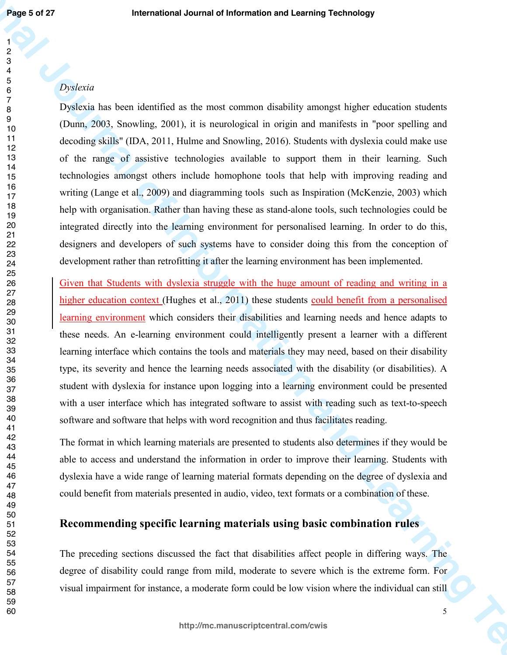#### *Dyslexia*

**Page 5 of 27**<br> **International Journal of Internation and Learning Technology<br>
<b>I** Check contents the second of the most communicated by an employee is detectively<br> **I** Check contents of the second of the second of the sec Dyslexia has been identified as the most common disability amongst higher education students (Dunn, 2003, Snowling, 2001), it is neurological in origin and manifests in "poor spelling and decoding skills" (IDA, 2011, Hulme and Snowling, 2016). Students with dyslexia could make use of the range of assistive technologies available to support them in their learning. Such technologies amongst others include homophone tools that help with improving reading and writing (Lange et al., 2009) and diagramming tools such as Inspiration (McKenzie, 2003) which help with organisation. Rather than having these as stand-alone tools, such technologies could be integrated directly into the learning environment for personalised learning. In order to do this, designers and developers of such systems have to consider doing this from the conception of development rather than retrofitting it after the learning environment has been implemented.

Given that Students with dyslexia struggle with the huge amount of reading and writing in a higher education context (Hughes et al., 2011) these students could benefit from a personalised learning environment which considers their disabilities and learning needs and hence adapts to these needs. An e-learning environment could intelligently present a learner with a different learning interface which contains the tools and materials they may need, based on their disability type, its severity and hence the learning needs associated with the disability (or disabilities). A student with dyslexia for instance upon logging into a learning environment could be presented with a user interface which has integrated software to assist with reading such as text-to-speech software and software that helps with word recognition and thus facilitates reading.

The format in which learning materials are presented to students also determines if they would be able to access and understand the information in order to improve their learning. Students with dyslexia have a wide range of learning material formats depending on the degree of dyslexia and could benefit from materials presented in audio, video, text formats or a combination of these.

## **Recommending specific learning materials using basic combination rules**

The preceding sections discussed the fact that disabilities affect people in differing ways. The degree of disability could range from mild, moderate to severe which is the extreme form. For visual impairment for instance, a moderate form could be low vision where the individual can still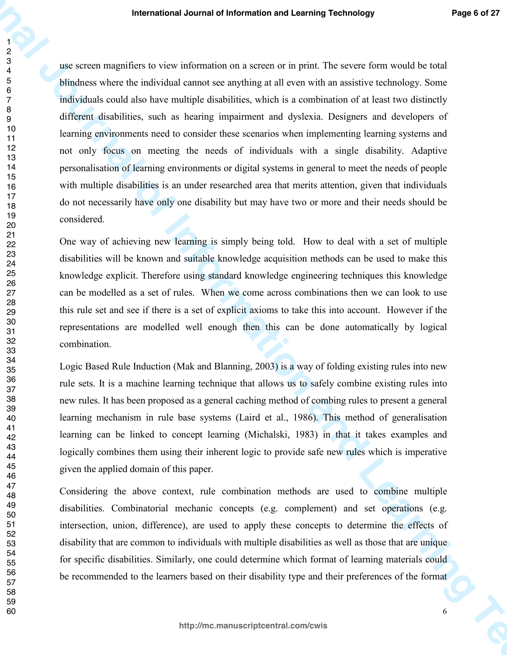**International Journal of Internation and Learning Technology 6 <b>Page 6 of 27**<br> **International of the Uniternational Scheme of International International International Scheme of the Britain Control of International of Int** use screen magnifiers to view information on a screen or in print. The severe form would be total blindness where the individual cannot see anything at all even with an assistive technology. Some individuals could also have multiple disabilities, which is a combination of at least two distinctly different disabilities, such as hearing impairment and dyslexia. Designers and developers of learning environments need to consider these scenarios when implementing learning systems and not only focus on meeting the needs of individuals with a single disability. Adaptive personalisation of learning environments or digital systems in general to meet the needs of people with multiple disabilities is an under researched area that merits attention, given that individuals do not necessarily have only one disability but may have two or more and their needs should be considered.

One way of achieving new learning is simply being told. How to deal with a set of multiple disabilities will be known and suitable knowledge acquisition methods can be used to make this knowledge explicit. Therefore using standard knowledge engineering techniques this knowledge can be modelled as a set of rules. When we come across combinations then we can look to use this rule set and see if there is a set of explicit axioms to take this into account. However if the representations are modelled well enough then this can be done automatically by logical combination.

Logic Based Rule Induction (Mak and Blanning, 2003) is a way of folding existing rules into new rule sets. It is a machine learning technique that allows us to safely combine existing rules into new rules. It has been proposed as a general caching method of combing rules to present a general learning mechanism in rule base systems (Laird et al., 1986). This method of generalisation learning can be linked to concept learning (Michalski, 1983) in that it takes examples and logically combines them using their inherent logic to provide safe new rules which is imperative given the applied domain of this paper.

Considering the above context, rule combination methods are used to combine multiple disabilities. Combinatorial mechanic concepts (e.g. complement) and set operations (e.g. intersection, union, difference), are used to apply these concepts to determine the effects of disability that are common to individuals with multiple disabilities as well as those that are unique for specific disabilities. Similarly, one could determine which format of learning materials could be recommended to the learners based on their disability type and their preferences of the format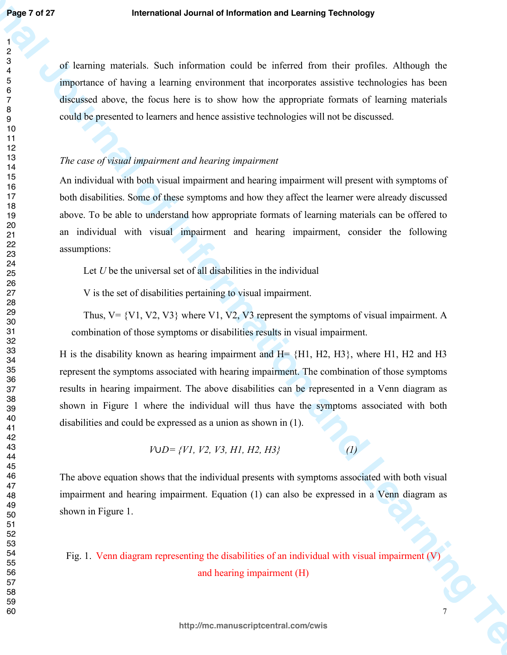**Page 7 of 27**

of learning materials. Such information could be inferred from their profiles. Although the importance of having a learning environment that incorporates assistive technologies has been discussed above, the focus here is to show how the appropriate formats of learning materials could be presented to learners and hence assistive technologies will not be discussed.

#### *The case of visual impairment and hearing impairment*

**International Journal of The Internation and Learning Technology<br>
<b>I**  $\frac{2}{5}$ <br> **I** of international Noch internation could be information solver a solver a solver and internal of the Information of Northernation and In An individual with both visual impairment and hearing impairment will present with symptoms of both disabilities. Some of these symptoms and how they affect the learner were already discussed above. To be able to understand how appropriate formats of learning materials can be offered to an individual with visual impairment and hearing impairment, consider the following assumptions:

Let *U* be the universal set of all disabilities in the individual

V is the set of disabilities pertaining to visual impairment.

Thus,  $V = \{V1, V2, V3\}$  where V1, V2, V3 represent the symptoms of visual impairment. A combination of those symptoms or disabilities results in visual impairment.

H is the disability known as hearing impairment and  $H = \{H1, H2, H3\}$ , where H1, H2 and H3 represent the symptoms associated with hearing impairment. The combination of those symptoms results in hearing impairment. The above disabilities can be represented in a Venn diagram as shown in Figure 1 where the individual will thus have the symptoms associated with both disabilities and could be expressed as a union as shown in (1).

$$
V \cup D = \{VI, V2, V3, H1, H2, H3\} \tag{1}
$$

The above equation shows that the individual presents with symptoms associated with both visual impairment and hearing impairment. Equation (1) can also be expressed in a Venn diagram as shown in Figure 1.

Fig. 1. Venn diagram representing the disabilities of an individual with visual impairment (V) and hearing impairment (H)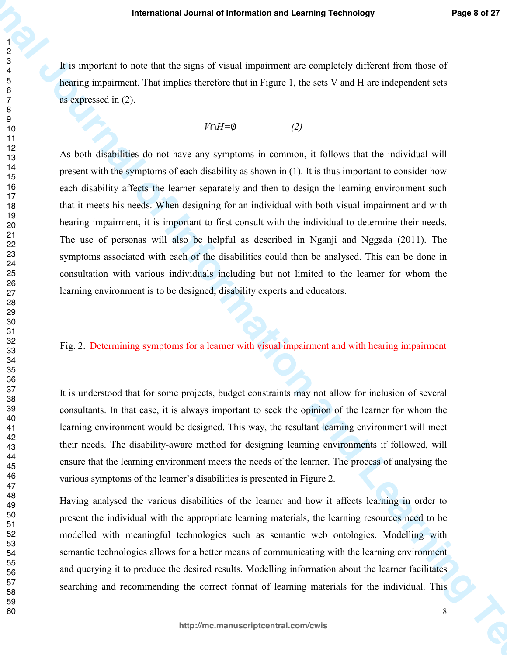It is important to note that the signs of visual impairment are completely different from those of hearing impairment. That implies therefore that in Figure 1, the sets V and H are independent sets as expressed in (2).

*V*∩*H=*∅  *(2)* 

**INTERFERIMENT ACTS**<br> **I** A has in granitude to must that the signs of visual impuriment are completely defined from these of the signs represented in C).<br> **I** the interpretation of the signs of visual interpretation compl As both disabilities do not have any symptoms in common, it follows that the individual will present with the symptoms of each disability as shown in (1). It is thus important to consider how each disability affects the learner separately and then to design the learning environment such that it meets his needs. When designing for an individual with both visual impairment and with hearing impairment, it is important to first consult with the individual to determine their needs. The use of personas will also be helpful as described in Nganji and Nggada (2011). The symptoms associated with each of the disabilities could then be analysed. This can be done in consultation with various individuals including but not limited to the learner for whom the learning environment is to be designed, disability experts and educators.

#### Fig. 2. Determining symptoms for a learner with visual impairment and with hearing impairment

It is understood that for some projects, budget constraints may not allow for inclusion of several consultants. In that case, it is always important to seek the opinion of the learner for whom the learning environment would be designed. This way, the resultant learning environment will meet their needs. The disability-aware method for designing learning environments if followed, will ensure that the learning environment meets the needs of the learner. The process of analysing the various symptoms of the learner's disabilities is presented in Figure 2.

Having analysed the various disabilities of the learner and how it affects learning in order to present the individual with the appropriate learning materials, the learning resources need to be modelled with meaningful technologies such as semantic web ontologies. Modelling with semantic technologies allows for a better means of communicating with the learning environment and querying it to produce the desired results. Modelling information about the learner facilitates searching and recommending the correct format of learning materials for the individual. This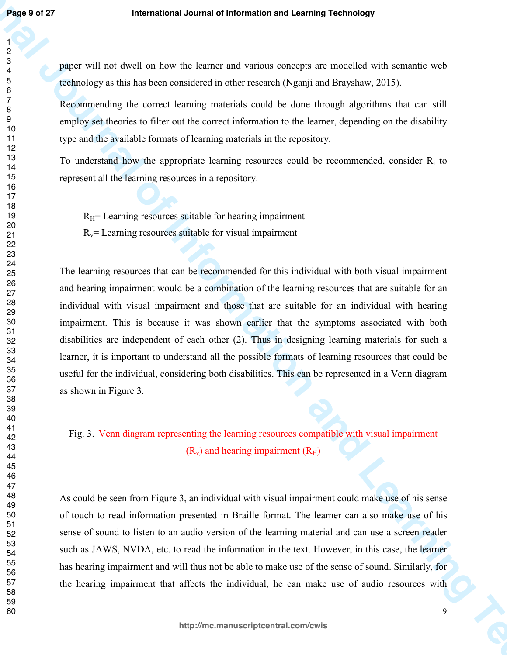paper will not dwell on how the learner and various concepts are modelled with semantic web technology as this has been considered in other research (Nganji and Brayshaw, 2015).

Recommending the correct learning materials could be done through algorithms that can still employ set theories to filter out the correct information to the learner, depending on the disability type and the available formats of learning materials in the repository.

To understand how the appropriate learning resources could be recommended, consider  $R_i$  to represent all the learning resources in a repository.

 $R<sub>H</sub>=$  Learning resources suitable for hearing impairment  $R_v$ = Learning resources suitable for visual impairment

**International Journal of Internation and Learning Technology<br>
<b>I** could be a substitute of the series of the series of the series of International of the series of the series of Internation and the series of Internation The learning resources that can be recommended for this individual with both visual impairment and hearing impairment would be a combination of the learning resources that are suitable for an individual with visual impairment and those that are suitable for an individual with hearing impairment. This is because it was shown earlier that the symptoms associated with both disabilities are independent of each other (2). Thus in designing learning materials for such a learner, it is important to understand all the possible formats of learning resources that could be useful for the individual, considering both disabilities. This can be represented in a Venn diagram as shown in Figure 3.

## Fig. 3. Venn diagram representing the learning resources compatible with visual impairment  $(R_v)$  and hearing impairment  $(R_H)$

As could be seen from Figure 3, an individual with visual impairment could make use of his sense of touch to read information presented in Braille format. The learner can also make use of his sense of sound to listen to an audio version of the learning material and can use a screen reader such as JAWS, NVDA, etc. to read the information in the text. However, in this case, the learner has hearing impairment and will thus not be able to make use of the sense of sound. Similarly, for the hearing impairment that affects the individual, he can make use of audio resources with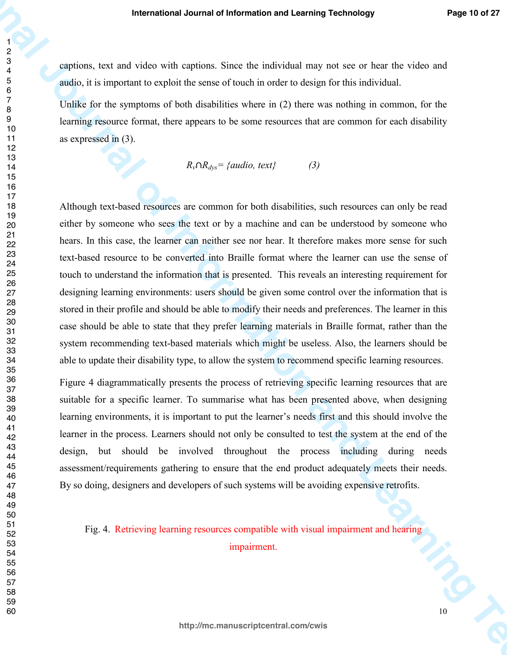captions, text and video with captions. Since the individual may not see or hear the video and audio, it is important to exploit the sense of touch in order to design for this individual.

Unlike for the symptoms of both disabilities where in (2) there was nothing in common, for the learning resource format, there appears to be some resources that are common for each disability as expressed in (3).

 $R_v \cap R_{dys} = \{audio, text\}$  (3)

**INTERFERIME A International Journal of Internation and Learning Technology** 10 **Page 10 of 27**<br>
2 **A Examplement of International of International of International of International International of International of In** Although text-based resources are common for both disabilities, such resources can only be read either by someone who sees the text or by a machine and can be understood by someone who hears. In this case, the learner can neither see nor hear. It therefore makes more sense for such text-based resource to be converted into Braille format where the learner can use the sense of touch to understand the information that is presented. This reveals an interesting requirement for designing learning environments: users should be given some control over the information that is stored in their profile and should be able to modify their needs and preferences. The learner in this case should be able to state that they prefer learning materials in Braille format, rather than the system recommending text-based materials which might be useless. Also, the learners should be able to update their disability type, to allow the system to recommend specific learning resources.

Figure 4 diagrammatically presents the process of retrieving specific learning resources that are suitable for a specific learner. To summarise what has been presented above, when designing learning environments, it is important to put the learner's needs first and this should involve the learner in the process. Learners should not only be consulted to test the system at the end of the design, but should be involved throughout the process including during needs assessment/requirements gathering to ensure that the end product adequately meets their needs. By so doing, designers and developers of such systems will be avoiding expensive retrofits.

## Fig. 4. Retrieving learning resources compatible with visual impairment and hearing impairment.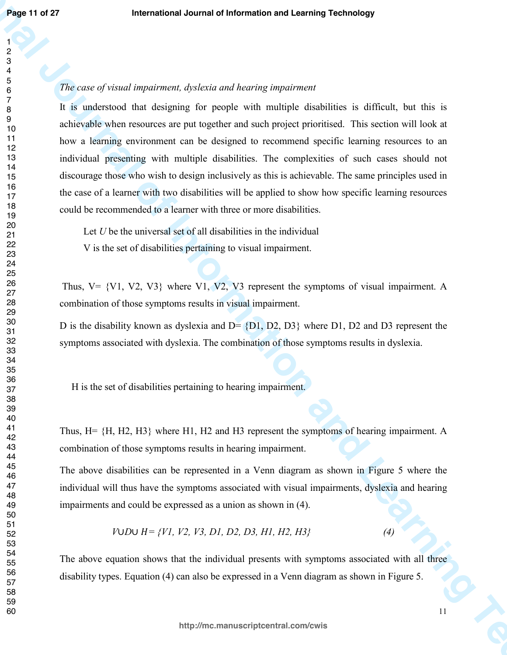#### 

#### *The case of visual impairment, dyslexia and hearing impairment*

**International Journal of Hermindienal Journal of Hermindien and Learning Technology<br>
<b>I**  $\frac{2}{5}$ <br> **I**  $\frac{2}{5}$ <br> **I**  $\frac{2}{5}$ <br> **I**  $\frac{2}{5}$ <br> **I**  $\frac{2}{5}$ <br> **I**  $\frac{2}{5}$ <br> **I**  $\frac{2}{5}$ <br> **I**  $\frac{2}{5}$ <br> **I**  $\frac{2}{5}$ <br> It is understood that designing for people with multiple disabilities is difficult, but this is achievable when resources are put together and such project prioritised. This section will look at how a learning environment can be designed to recommend specific learning resources to an individual presenting with multiple disabilities. The complexities of such cases should not discourage those who wish to design inclusively as this is achievable. The same principles used in the case of a learner with two disabilities will be applied to show how specific learning resources could be recommended to a learner with three or more disabilities.

Let *U* be the universal set of all disabilities in the individual V is the set of disabilities pertaining to visual impairment.

Thus,  $V = \{V1, V2, V3\}$  where V1, V2, V3 represent the symptoms of visual impairment. A combination of those symptoms results in visual impairment.

D is the disability known as dyslexia and  $D = \{D1, D2, D3\}$  where D1, D2 and D3 represent the symptoms associated with dyslexia. The combination of those symptoms results in dyslexia.

H is the set of disabilities pertaining to hearing impairment.

Thus, H= {H, H2, H3} where H1, H2 and H3 represent the symptoms of hearing impairment. A combination of those symptoms results in hearing impairment.

The above disabilities can be represented in a Venn diagram as shown in Figure 5 where the individual will thus have the symptoms associated with visual impairments, dyslexia and hearing impairments and could be expressed as a union as shown in (4).

$$
VUDU H = \{VI, V2, V3, DI, D2, D3, HI, H2, H3\}
$$
\n<sup>(4)</sup>

The above equation shows that the individual presents with symptoms associated with all three disability types. Equation (4) can also be expressed in a Venn diagram as shown in Figure 5.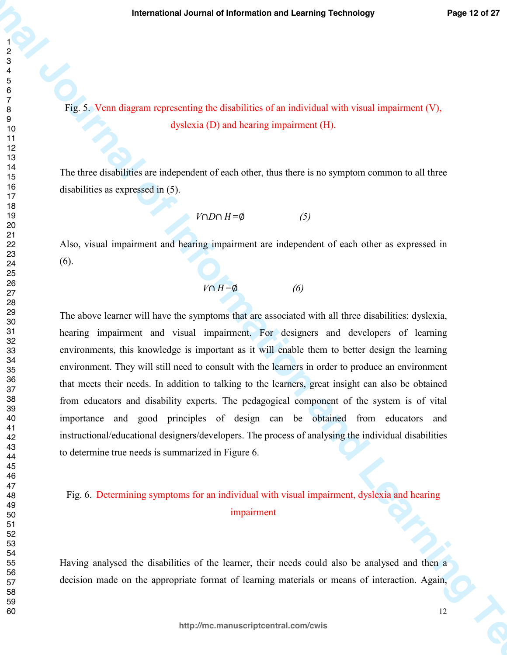Fig. 5. Venn diagram representing the disabilities of an individual with visual impairment (V), dyslexia (D) and hearing impairment (H).

The three disabilities are independent of each other, thus there is no symptom common to all three disabilities as expressed in (5).

$$
V \cap D \cap H = \emptyset \tag{5}
$$

Also, visual impairment and hearing impairment are independent of each other as expressed in (6).

 $V \cap H = \emptyset$  (6)

**International Journal of Internation and Learning Technology 12 Page 12 of 27**<br> **International of the Section And Learning International of the International of U.S.**<br> **ITEL SECTION ACCORD CONSULTER CONSULTER CONSULTS**<br> The above learner will have the symptoms that are associated with all three disabilities: dyslexia, hearing impairment and visual impairment. For designers and developers of learning environments, this knowledge is important as it will enable them to better design the learning environment. They will still need to consult with the learners in order to produce an environment that meets their needs. In addition to talking to the learners, great insight can also be obtained from educators and disability experts. The pedagogical component of the system is of vital importance and good principles of design can be obtained from educators and instructional/educational designers/developers. The process of analysing the individual disabilities to determine true needs is summarized in Figure 6.

## Fig. 6. Determining symptoms for an individual with visual impairment, dyslexia and hearing impairment

Having analysed the disabilities of the learner, their needs could also be analysed and then a decision made on the appropriate format of learning materials or means of interaction. Again,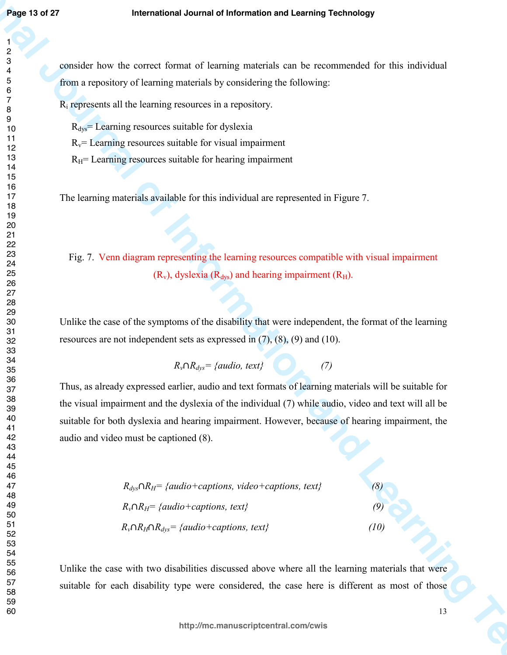consider how the correct format of learning materials can be recommended for this individual from a repository of learning materials by considering the following:

Ri represents all the learning resources in a repository.

 $R_{dys}$ = Learning resources suitable for dyslexia

 $R_v$ = Learning resources suitable for visual impairment

 $R_H$ = Learning resources suitable for hearing impairment

The learning materials available for this individual are represented in Figure 7.

Fig. 7. Venn diagram representing the learning resources compatible with visual impairment  $(R_v)$ , dyslexia  $(R_{\text{dys}})$  and hearing impairment  $(R_H)$ .

Unlike the case of the symptoms of the disability that were independent, the format of the learning resources are not independent sets as expressed in (7), (8), (9) and (10).

 $R_v \cap R_{dvs} = \{audio, text\}$  (7)

**IFACTION CONSULTERATION INTERNATION CONSULTERATION** (1992)<br> **I** A consider the value of the main of Information and Learning Technology<br> **IFACTION IFACTION** (**IFACTION IFACTION I** (**IFACTION I** (**IFACTION I** Thus, as already expressed earlier, audio and text formats of learning materials will be suitable for the visual impairment and the dyslexia of the individual (7) while audio, video and text will all be suitable for both dyslexia and hearing impairment. However, because of hearing impairment, the audio and video must be captioned (8).

| $R_{dvs} \cap R_H = \{audio + captions, video + captions, text\}$ | (8)  |
|-------------------------------------------------------------------|------|
| $R_v \cap R_H = \{audio + captions, text\}$                       | (9)  |
| $R_v \cap R_H \cap R_{dvs} = \{audio + captions, text\}$          | (10) |

Unlike the case with two disabilities discussed above where all the learning materials that were suitable for each disability type were considered, the case here is different as most of those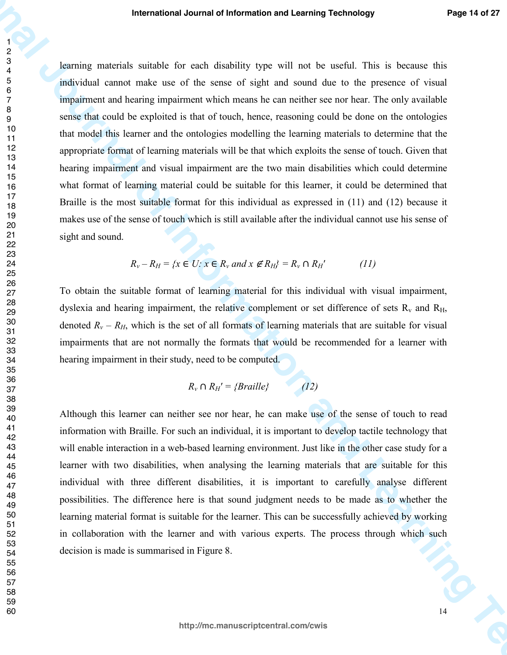**International Journal of Herministan and Learning Technology 19 Page 14 of 27**<br> **Example the state of the state of Fight and started the Page 14 of Example 16**<br> **Examplement and Archive** internation widely the propositio learning materials suitable for each disability type will not be useful. This is because this individual cannot make use of the sense of sight and sound due to the presence of visual impairment and hearing impairment which means he can neither see nor hear. The only available sense that could be exploited is that of touch, hence, reasoning could be done on the ontologies that model this learner and the ontologies modelling the learning materials to determine that the appropriate format of learning materials will be that which exploits the sense of touch. Given that hearing impairment and visual impairment are the two main disabilities which could determine what format of learning material could be suitable for this learner, it could be determined that Braille is the most suitable format for this individual as expressed in (11) and (12) because it makes use of the sense of touch which is still available after the individual cannot use his sense of sight and sound.

$$
R_v - R_H = \{ x \in U : x \in R_v \text{ and } x \notin R_H \} = R_v \cap R_H' \tag{11}
$$

To obtain the suitable format of learning material for this individual with visual impairment, dyslexia and hearing impairment, the relative complement or set difference of sets  $R_v$  and  $R_H$ , denoted  $R_v - R_H$ , which is the set of all formats of learning materials that are suitable for visual impairments that are not normally the formats that would be recommended for a learner with hearing impairment in their study, need to be computed.

$$
R_v \cap R_H' = \{Braille\} \tag{12}
$$

Although this learner can neither see nor hear, he can make use of the sense of touch to read information with Braille. For such an individual, it is important to develop tactile technology that will enable interaction in a web-based learning environment. Just like in the other case study for a learner with two disabilities, when analysing the learning materials that are suitable for this individual with three different disabilities, it is important to carefully analyse different possibilities. The difference here is that sound judgment needs to be made as to whether the learning material format is suitable for the learner. This can be successfully achieved by working in collaboration with the learner and with various experts. The process through which such decision is made is summarised in Figure 8.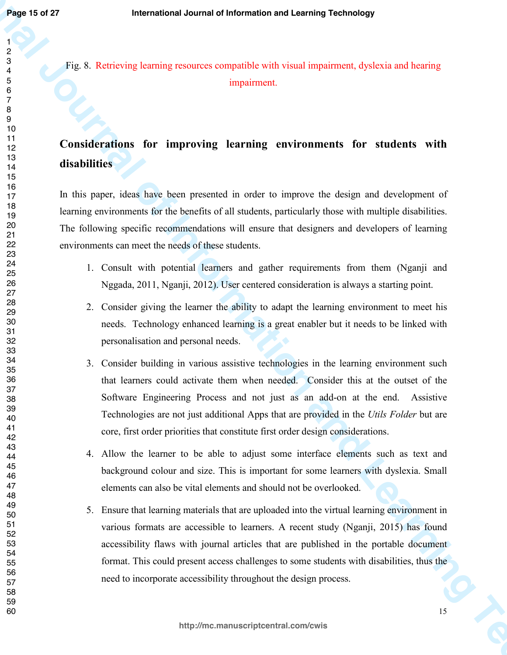Fig. 8. Retrieving learning resources compatible with visual impairment, dyslexia and hearing impairment.

## **Considerations for improving learning environments for students with disabilities**

In this paper, ideas have been presented in order to improve the design and development of learning environments for the benefits of all students, particularly those with multiple disabilities. The following specific recommendations will ensure that designers and developers of learning environments can meet the needs of these students.

- 1. Consult with potential learners and gather requirements from them (Nganji and Nggada, 2011, Nganji, 2012). User centered consideration is always a starting point.
- 2. Consider giving the learner the ability to adapt the learning environment to meet his needs. Technology enhanced learning is a great enabler but it needs to be linked with personalisation and personal needs.
- **Fig. 15 of 27**<br> **International Journal of Internation and Learning Technology**<br> **I**  $\frac{1}{2}$ <br> **I**  $\frac{1}{2}$ <br> **I**  $\frac{1}{2}$ <br> **I**  $\frac{1}{2}$ <br> **I**  $\frac{1}{2}$ <br> **I**  $\frac{1}{2}$ <br> **I Considerations for improving learning environ** 3. Consider building in various assistive technologies in the learning environment such that learners could activate them when needed. Consider this at the outset of the Software Engineering Process and not just as an add-on at the end. Assistive Technologies are not just additional Apps that are provided in the *Utils Folder* but are core, first order priorities that constitute first order design considerations.
	- 4. Allow the learner to be able to adjust some interface elements such as text and background colour and size. This is important for some learners with dyslexia. Small elements can also be vital elements and should not be overlooked.
	- 5. Ensure that learning materials that are uploaded into the virtual learning environment in various formats are accessible to learners. A recent study (Nganji, 2015) has found accessibility flaws with journal articles that are published in the portable document format. This could present access challenges to some students with disabilities, thus the need to incorporate accessibility throughout the design process.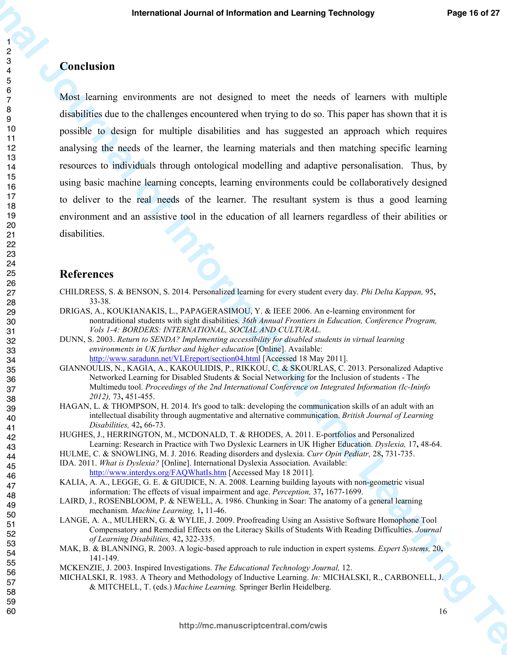## **Conclusion**

**International Journal of International of Exchange Technology 16<br>
2<br>
<b>Conclusion**<br>
And Learning environments are not designed to meet the meets of learners with multiple<br>
2<br> **International of International of Internationa** Most learning environments are not designed to meet the needs of learners with multiple disabilities due to the challenges encountered when trying to do so. This paper has shown that it is possible to design for multiple disabilities and has suggested an approach which requires analysing the needs of the learner, the learning materials and then matching specific learning resources to individuals through ontological modelling and adaptive personalisation. Thus, by using basic machine learning concepts, learning environments could be collaboratively designed to deliver to the real needs of the learner. The resultant system is thus a good learning environment and an assistive tool in the education of all learners regardless of their abilities or disabilities.

### **References**

- CHILDRESS, S. & BENSON, S. 2014. Personalized learning for every student every day. *Phi Delta Kappan,* 95**,** 33-38.
- DRIGAS, A., KOUKIANAKIS, L., PAPAGERASIMOU, Y. & IEEE 2006. An e-learning environment for nontraditional students with sight disabilities. *36th Annual Frontiers in Education, Conference Program, Vols 1-4: BORDERS: INTERNATIONAL, SOCIAL AND CULTURAL.*
- DUNN, S. 2003. *Return to SENDA? Implementing accessibility for disabled students in virtual learning environments in UK further and higher education* [Online]. Available: http://www.saradunn.net/VLEreport/section04.html [Accessed 18 May 2011].
- GIANNOULIS, N., KAGIA, A., KAKOULIDIS, P., RIKKOU, C. & SKOURLAS, C. 2013. Personalized Adaptive Networked Learning for Disabled Students & Social Networking for the Inclusion of students - The Multimedu tool. *Proceedings of the 2nd International Conference on Integrated Information (Ic-Ininfo 2012),* 73**,** 451-455.
- HAGAN, L. & THOMPSON, H. 2014. It's good to talk: developing the communication skills of an adult with an intellectual disability through augmentative and alternative communication. *British Journal of Learning Disabilities,* 42**,** 66-73.
- HUGHES, J., HERRINGTON, M., MCDONALD, T. & RHODES, A. 2011. E-portfolios and Personalized Learning: Research in Practice with Two Dyslexic Learners in UK Higher Education. *Dyslexia,* 17**,** 48-64.
- HULME, C. & SNOWLING, M. J. 2016. Reading disorders and dyslexia. *Curr Opin Pediatr,* 28**,** 731-735.
- IDA. 2011. *What is Dyslexia?* [Online]. International Dyslexia Association. Available: http://www.interdys.org/FAQWhatIs.htm [Accessed May 18 2011].
- KALIA, A. A., LEGGE, G. E. & GIUDICE, N. A. 2008. Learning building layouts with non-geometric visual information: The effects of visual impairment and age. *Perception,* 37**,** 1677-1699.
- LAIRD, J., ROSENBLOOM, P. & NEWELL, A. 1986. Chunking in Soar: The anatomy of a general learning mechanism. *Machine Learning,* 1**,** 11-46.
- LANGE, A. A., MULHERN, G. & WYLIE, J. 2009. Proofreading Using an Assistive Software Homophone Tool Compensatory and Remedial Effects on the Literacy Skills of Students With Reading Difficulties. *Journal of Learning Disabilities,* 42**,** 322-335.
- MAK, B. & BLANNING, R. 2003. A logic-based approach to rule induction in expert systems. *Expert Systems,* 20**,** 141-149.
- MCKENZIE, J. 2003. Inspired Investigations. *The Educational Technology Journal,* 12.
- MICHALSKI, R. 1983. A Theory and Methodology of Inductive Learning. *In:* MICHALSKI, R., CARBONELL, J. & MITCHELL, T. (eds.) *Machine Learning.* Springer Berlin Heidelberg.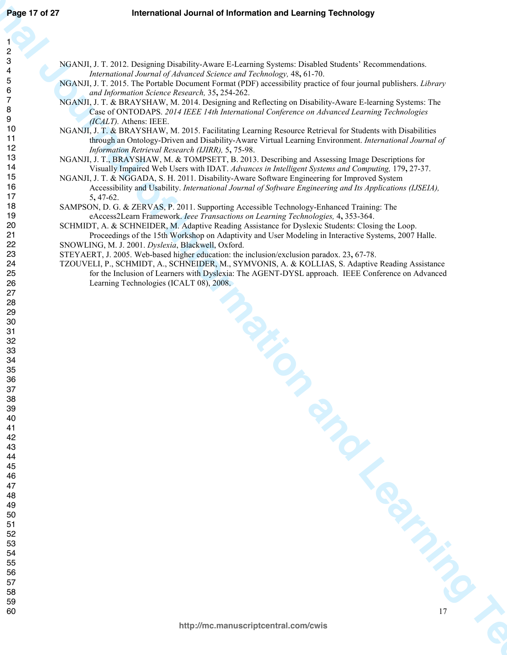- NGANJI, J. T. 2012. Designing Disability-Aware E-Learning Systems: Disabled Students' Recommendations. *International Journal of Advanced Science and Technology,* 48**,** 61-70.
- NGANJI, J. T. 2015. The Portable Document Format (PDF) accessibility practice of four journal publishers. *Library and Information Science Research,* 35**,** 254-262.
- NGANJI, J. T. & BRAYSHAW, M. 2014. Designing and Reflecting on Disability-Aware E-learning Systems: The Case of ONTODAPS. *2014 IEEE 14th International Conference on Advanced Learning Technologies (ICALT).* Athens: IEEE.
- **International Journal of Internation and Learning Technology**<br> **International Journal of Internation and Learning Technology**<br> **International Construction**<br> **International Second Frame Press (Property Constraint Press (P** NGANJI, J. T. & BRAYSHAW, M. 2015. Facilitating Learning Resource Retrieval for Students with Disabilities through an Ontology-Driven and Disability-Aware Virtual Learning Environment. *International Journal of Information Retrieval Research (IJIRR),* 5**,** 75-98.
	- NGANJI, J. T., BRAYSHAW, M. & TOMPSETT, B. 2013. Describing and Assessing Image Descriptions for Visually Impaired Web Users with IDAT. *Advances in Intelligent Systems and Computing,* 179**,** 27-37.
	- NGANJI, J. T. & NGGADA, S. H. 2011. Disability-Aware Software Engineering for Improved System Accessibility and Usability. *International Journal of Software Engineering and Its Applications (IJSEIA),* **,** 47-62.
	- SAMPSON, D. G. & ZERVAS, P. 2011. Supporting Accessible Technology-Enhanced Training: The eAccess2Learn Framework. *Ieee Transactions on Learning Technologies,* 4**,** 353-364.
	- SCHMIDT, A. & SCHNEIDER, M. Adaptive Reading Assistance for Dyslexic Students: Closing the Loop. Proceedings of the 15th Workshop on Adaptivity and User Modeling in Interactive Systems, 2007 Halle.
	- SNOWLING, M. J. 2001. *Dyslexia*, Blackwell, Oxford.
	- STEYAERT, J. 2005. Web-based higher education: the inclusion/exclusion paradox. 23**,** 67-78.
		- TZOUVELI, P., SCHMIDT, A., SCHNEIDER, M., SYMVONIS, A. & KOLLIAS, S. Adaptive Reading Assistance for the Inclusion of Learners with Dyslexia: The AGENT-DYSL approach. IEEE Conference on Advanced Learning Technologies (ICALT 08), 2008.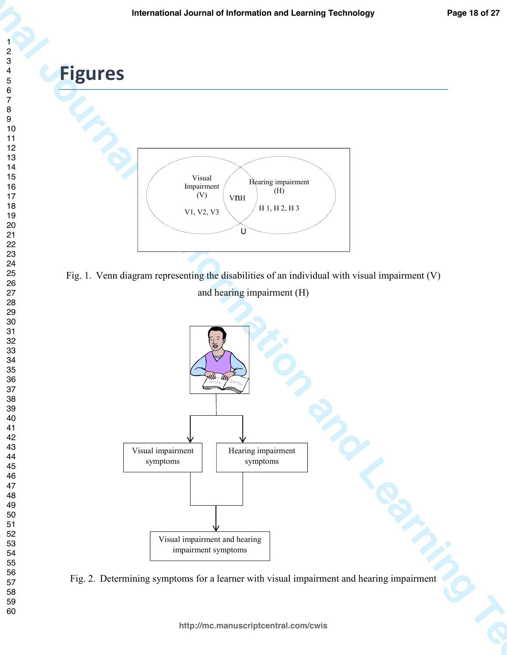**Figures** 



Fig. 1. Venn diagram representing the disabilities of an individual with visual impairment (V) and hearing impairment (H)



Fig. 2. Determining symptoms for a learner with visual impairment and hearing impairment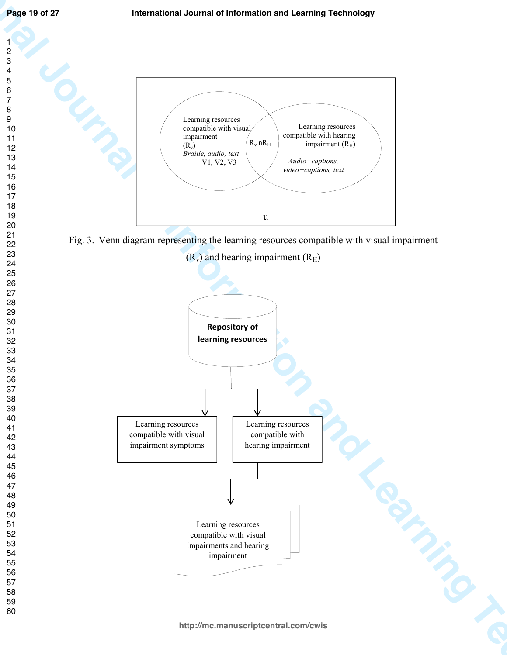**Page 19 of 27**



Fig. 3. Venn diagram representing the learning resources compatible with visual impairment



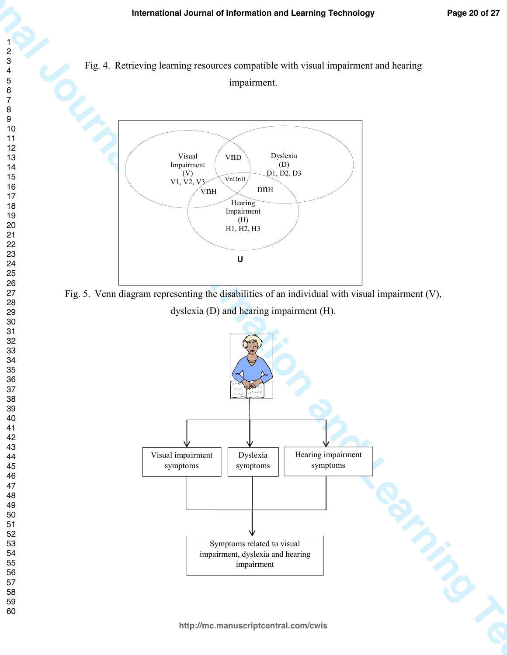Fig. 4. Retrieving learning resources compatible with visual impairment and hearing impairment.



Fig. 5. Venn diagram representing the disabilities of an individual with visual impairment (V), dyslexia (D) and hearing impairment (H).

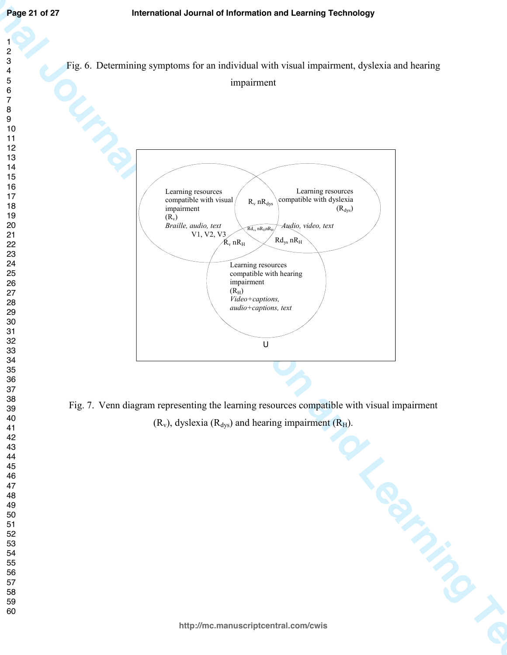

Fig. 7. Venn diagram representing the learning resources compatible with visual impairment  $(R_1)$ .  $(R_v)$ , dyslexia  $(R_{\text{dys}})$  and hearing impairment  $(R_H)$ .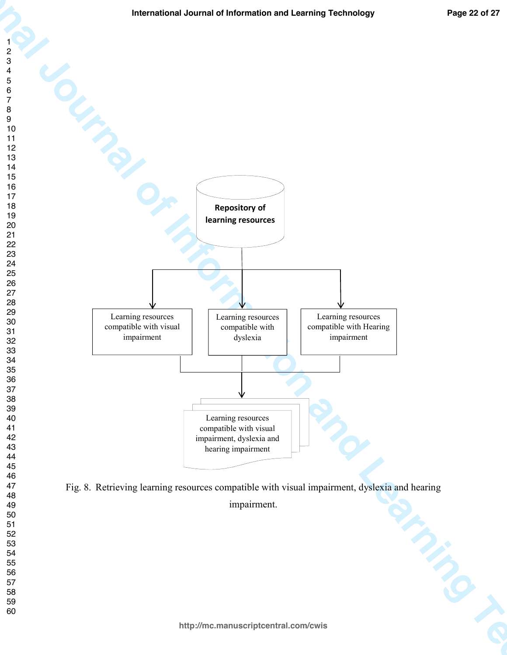

Fig. 8. Retrieving learning resources compatible with visual impairment, dyslexia and hearing

impairment.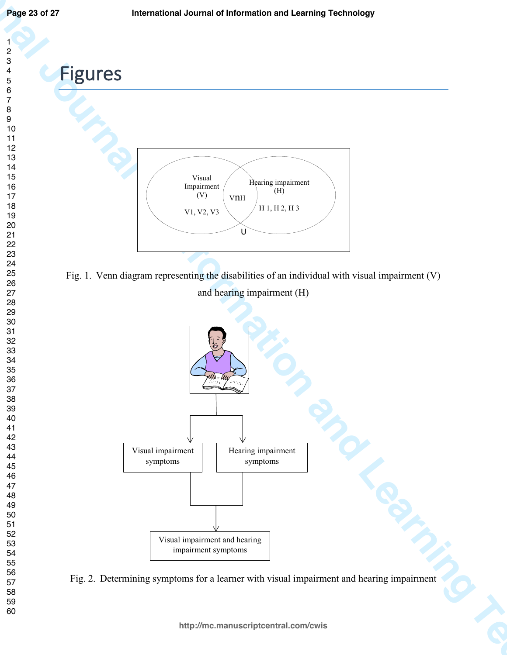## Figures



Fig. 1. Venn diagram representing the disabilities of an individual with visual impairment (V) and hearing impairment (H)



Fig. 2. Determining symptoms for a learner with visual impairment and hearing impairment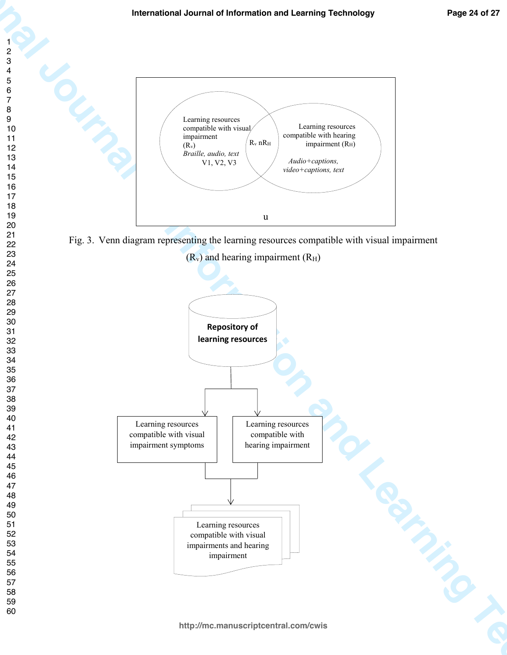

Fig. 3. Venn diagram representing the learning resources compatible with visual impairment  $(R_v)$  and hearing impairment  $(R_H)$ 

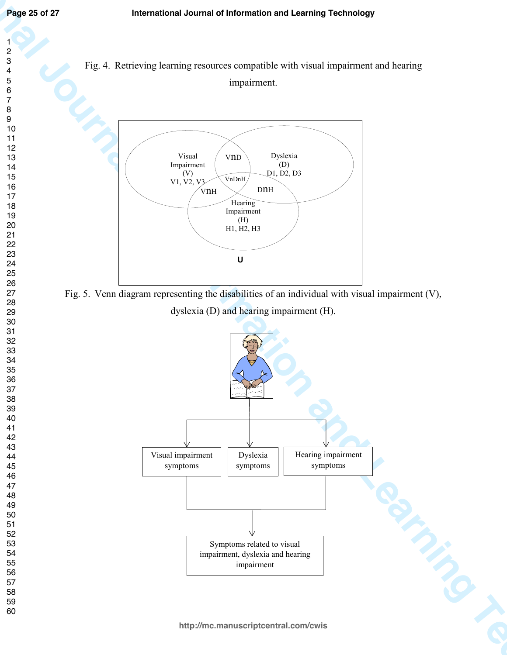Fig. 4. Retrieving learning resources compatible with visual impairment and hearing impairment.



Fig. 5. Venn diagram representing the disabilities of an individual with visual impairment (V), dyslexia (D) and hearing impairment (H).

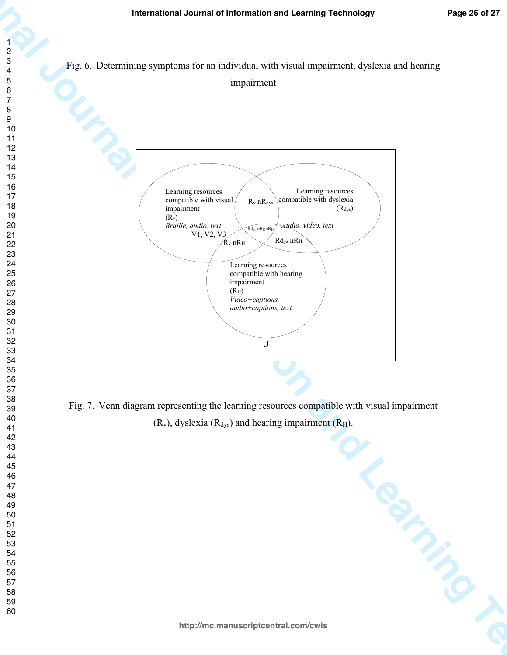**International Journal of Internation and Learning Technology Fig. 6.** Determining symptoms for an individual with visual impairment, dyslexia and hearing symptoms for an individual with visual impairment, dyslexia and hea impairment U Learning resources compatible with visual impairment  $(R_v)$ *Braille, audio, text* V1, V2, V3<br> $R_v$  nR<sub>H</sub> Learning resources compatible with dyslexia (Rdys) *Audio, video, text* Learning resources compatible with hearing impairment  $(R<sub>H</sub>)$ *Video+captions, audio+captions, text* Rv nRdys  $Rd_{ys}$  n $R_H$  $\widehat{Rd_{vs}}$ n $R_DnR_H$ 

Fig. 7. Venn diagram representing the learning resources compatible with visual impairment  $(R_{II})$ .  $(R_v)$ , dyslexia  $(R_{\text{dys}})$  and hearing impairment  $(R_H)$ .